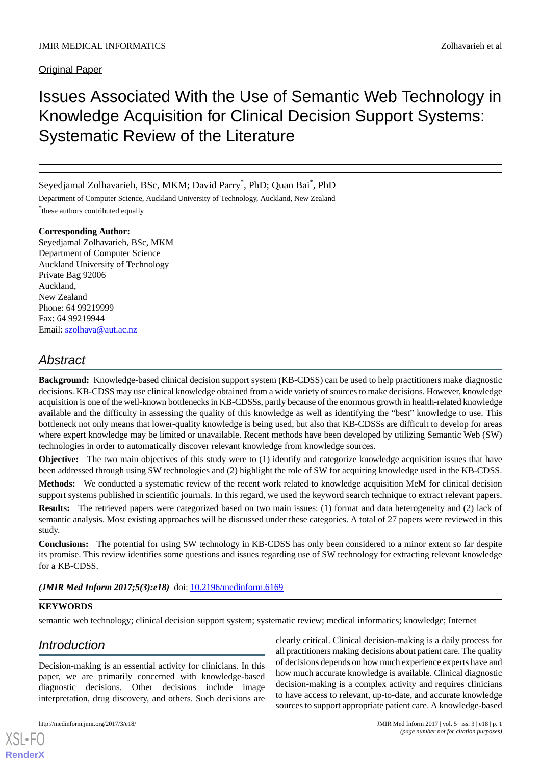Original Paper

# Issues Associated With the Use of Semantic Web Technology in Knowledge Acquisition for Clinical Decision Support Systems: Systematic Review of the Literature

Seyedjamal Zolhavarieh, BSc, MKM; David Parry<sup>\*</sup>, PhD; Quan Bai<sup>\*</sup>, PhD

Department of Computer Science, Auckland University of Technology, Auckland, New Zealand \* these authors contributed equally

# **Corresponding Author:**

Seyedjamal Zolhavarieh, BSc, MKM Department of Computer Science Auckland University of Technology Private Bag 92006 Auckland, New Zealand Phone: 64 99219999 Fax: 64 99219944 Email: [szolhava@aut.ac.nz](mailto:szolhava@aut.ac.nz)

# *Abstract*

**Background:** Knowledge-based clinical decision support system (KB-CDSS) can be used to help practitioners make diagnostic decisions. KB-CDSS may use clinical knowledge obtained from a wide variety of sources to make decisions. However, knowledge acquisition is one of the well-known bottlenecks in KB-CDSSs, partly because of the enormous growth in health-related knowledge available and the difficulty in assessing the quality of this knowledge as well as identifying the "best" knowledge to use. This bottleneck not only means that lower-quality knowledge is being used, but also that KB-CDSSs are difficult to develop for areas where expert knowledge may be limited or unavailable. Recent methods have been developed by utilizing Semantic Web (SW) technologies in order to automatically discover relevant knowledge from knowledge sources.

**Objective:** The two main objectives of this study were to (1) identify and categorize knowledge acquisition issues that have been addressed through using SW technologies and (2) highlight the role of SW for acquiring knowledge used in the KB-CDSS.

**Methods:** We conducted a systematic review of the recent work related to knowledge acquisition MeM for clinical decision support systems published in scientific journals. In this regard, we used the keyword search technique to extract relevant papers.

**Results:** The retrieved papers were categorized based on two main issues: (1) format and data heterogeneity and (2) lack of semantic analysis. Most existing approaches will be discussed under these categories. A total of 27 papers were reviewed in this study.

**Conclusions:** The potential for using SW technology in KB-CDSS has only been considered to a minor extent so far despite its promise. This review identifies some questions and issues regarding use of SW technology for extracting relevant knowledge for a KB-CDSS.

(JMIR Med Inform 2017;5(3):e18) doi: [10.2196/medinform.6169](http://dx.doi.org/10.2196/medinform.6169)

## **KEYWORDS**

semantic web technology; clinical decision support system; systematic review; medical informatics; knowledge; Internet

# *Introduction*

Decision-making is an essential activity for clinicians. In this paper, we are primarily concerned with knowledge-based diagnostic decisions. Other decisions include image interpretation, drug discovery, and others. Such decisions are

[XSL](http://www.w3.org/Style/XSL)•FO **[RenderX](http://www.renderx.com/)**

clearly critical. Clinical decision-making is a daily process for all practitioners making decisions about patient care. The quality of decisions depends on how much experience experts have and how much accurate knowledge is available. Clinical diagnostic decision-making is a complex activity and requires clinicians to have access to relevant, up-to-date, and accurate knowledge sources to support appropriate patient care. A knowledge-based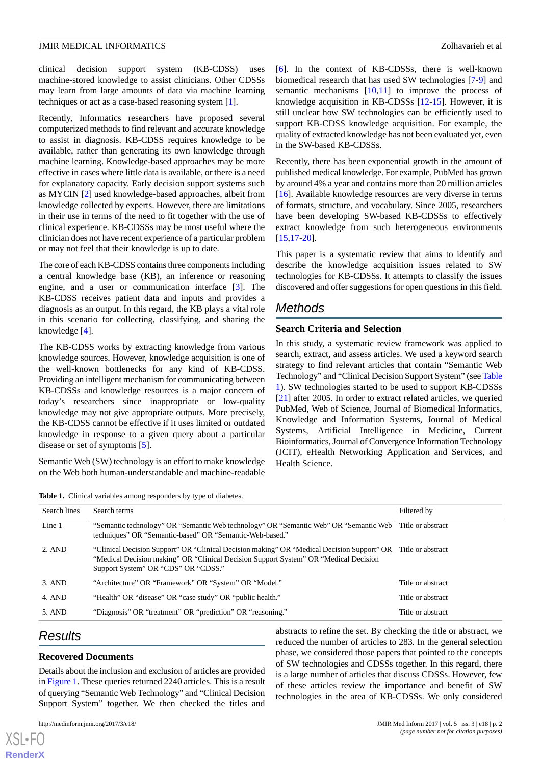clinical decision support system (KB-CDSS) uses machine-stored knowledge to assist clinicians. Other CDSSs may learn from large amounts of data via machine learning techniques or act as a case-based reasoning system [\[1](#page-8-0)].

Recently, Informatics researchers have proposed several computerized methods to find relevant and accurate knowledge to assist in diagnosis. KB-CDSS requires knowledge to be available, rather than generating its own knowledge through machine learning. Knowledge-based approaches may be more effective in cases where little data is available, or there is a need for explanatory capacity. Early decision support systems such as MYCIN [[2\]](#page-8-1) used knowledge-based approaches, albeit from knowledge collected by experts. However, there are limitations in their use in terms of the need to fit together with the use of clinical experience. KB-CDSSs may be most useful where the clinician does not have recent experience of a particular problem or may not feel that their knowledge is up to date.

The core of each KB-CDSS contains three components including a central knowledge base (KB), an inference or reasoning engine, and a user or communication interface [\[3](#page-8-2)]. The KB-CDSS receives patient data and inputs and provides a diagnosis as an output. In this regard, the KB plays a vital role in this scenario for collecting, classifying, and sharing the knowledge [[4\]](#page-8-3).

The KB-CDSS works by extracting knowledge from various knowledge sources. However, knowledge acquisition is one of the well-known bottlenecks for any kind of KB-CDSS. Providing an intelligent mechanism for communicating between KB-CDSSs and knowledge resources is a major concern of today's researchers since inappropriate or low-quality knowledge may not give appropriate outputs. More precisely, the KB-CDSS cannot be effective if it uses limited or outdated knowledge in response to a given query about a particular disease or set of symptoms [\[5](#page-8-4)].

<span id="page-1-0"></span>Semantic Web (SW) technology is an effort to make knowledge on the Web both human-understandable and machine-readable

**Table 1.** Clinical variables among responders by type of diabetes.

[[6\]](#page-8-5). In the context of KB-CDSSs, there is well-known biomedical research that has used SW technologies [[7-](#page-8-6)[9\]](#page-8-7) and semantic mechanisms [\[10](#page-8-8),[11\]](#page-8-9) to improve the process of knowledge acquisition in KB-CDSSs [[12-](#page-8-10)[15\]](#page-8-11). However, it is still unclear how SW technologies can be efficiently used to support KB-CDSS knowledge acquisition. For example, the quality of extracted knowledge has not been evaluated yet, even in the SW-based KB-CDSSs.

Recently, there has been exponential growth in the amount of published medical knowledge. For example, PubMed has grown by around 4% a year and contains more than 20 million articles [[16\]](#page-8-12). Available knowledge resources are very diverse in terms of formats, structure, and vocabulary. Since 2005, researchers have been developing SW-based KB-CDSSs to effectively extract knowledge from such heterogeneous environments  $[15, 17, 20]$  $[15, 17, 20]$  $[15, 17, 20]$  $[15, 17, 20]$ .

This paper is a systematic review that aims to identify and describe the knowledge acquisition issues related to SW technologies for KB-CDSSs. It attempts to classify the issues discovered and offer suggestions for open questions in this field.

# *Methods*

# **Search Criteria and Selection**

In this study, a systematic review framework was applied to search, extract, and assess articles. We used a keyword search strategy to find relevant articles that contain "Semantic Web Technology" and "Clinical Decision Support System" (see [Table](#page-1-0) [1\)](#page-1-0). SW technologies started to be used to support KB-CDSSs [[21\]](#page-8-15) after 2005. In order to extract related articles, we queried PubMed, Web of Science, Journal of Biomedical Informatics, Knowledge and Information Systems, Journal of Medical Systems, Artificial Intelligence in Medicine, Current Bioinformatics, Journal of Convergence Information Technology (JCIT), eHealth Networking Application and Services, and Health Science.

| Search lines | Search terms                                                                                                                                                                                                              | Filtered by       |
|--------------|---------------------------------------------------------------------------------------------------------------------------------------------------------------------------------------------------------------------------|-------------------|
| Line 1       | "Semantic technology" OR "Semantic Web technology" OR "Semantic Web" OR "Semantic Web Title or abstract<br>techniques" OR "Semantic-based" OR "Semantic-Web-based."                                                       |                   |
| 2. AND       | "Clinical Decision Support" OR "Clinical Decision making" OR "Medical Decision Support" OR<br>"Medical Decision making" OR "Clinical Decision Support System" OR "Medical Decision<br>Support System" OR "CDS" OR "CDSS." | Title or abstract |
| $3.$ AND     | "Architecture" OR "Framework" OR "System" OR "Model."                                                                                                                                                                     | Title or abstract |
| 4. AND       | "Health" OR "disease" OR "case study" OR "public health."                                                                                                                                                                 | Title or abstract |
| 5. AND       | "Diagnosis" OR "treatment" OR "prediction" OR "reasoning."                                                                                                                                                                | Title or abstract |

# *Results*

 $X$ SL•F $C$ **[RenderX](http://www.renderx.com/)**

#### **Recovered Documents**

Details about the inclusion and exclusion of articles are provided in [Figure 1.](#page-2-0) These queries returned 2240 articles. This is a result of querying "Semantic Web Technology" and "Clinical Decision Support System" together. We then checked the titles and

abstracts to refine the set. By checking the title or abstract, we reduced the number of articles to 283. In the general selection phase, we considered those papers that pointed to the concepts of SW technologies and CDSSs together. In this regard, there is a large number of articles that discuss CDSSs. However, few of these articles review the importance and benefit of SW technologies in the area of KB-CDSSs. We only considered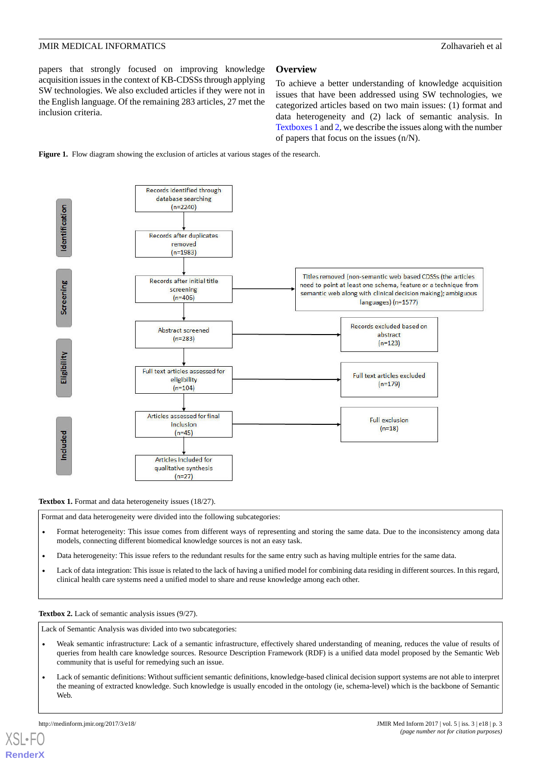papers that strongly focused on improving knowledge acquisition issues in the context of KB-CDSSs through applying SW technologies. We also excluded articles if they were not in the English language. Of the remaining 283 articles, 27 met the inclusion criteria.

#### **Overview**

To achieve a better understanding of knowledge acquisition issues that have been addressed using SW technologies, we categorized articles based on two main issues: (1) format and data heterogeneity and (2) lack of semantic analysis. In [Textboxes 1](#page-2-1) and [2,](#page-2-2) we describe the issues along with the number of papers that focus on the issues (n/N).

<span id="page-2-0"></span>



<span id="page-2-1"></span>Textbox 1. Format and data heterogeneity issues (18/27).

Format and data heterogeneity were divided into the following subcategories:

- Format heterogeneity: This issue comes from different ways of representing and storing the same data. Due to the inconsistency among data models, connecting different biomedical knowledge sources is not an easy task.
- <span id="page-2-2"></span>• Data heterogeneity: This issue refers to the redundant results for the same entry such as having multiple entries for the same data.
- Lack of data integration: This issue is related to the lack of having a unified model for combining data residing in different sources. In this regard, clinical health care systems need a unified model to share and reuse knowledge among each other.

#### **Textbox 2.** Lack of semantic analysis issues (9/27).

Lack of Semantic Analysis was divided into two subcategories:

- Weak semantic infrastructure: Lack of a semantic infrastructure, effectively shared understanding of meaning, reduces the value of results of queries from health care knowledge sources. Resource Description Framework (RDF) is a unified data model proposed by the Semantic Web community that is useful for remedying such an issue.
- Lack of semantic definitions: Without sufficient semantic definitions, knowledge-based clinical decision support systems are not able to interpret the meaning of extracted knowledge. Such knowledge is usually encoded in the ontology (ie, schema-level) which is the backbone of Semantic Web.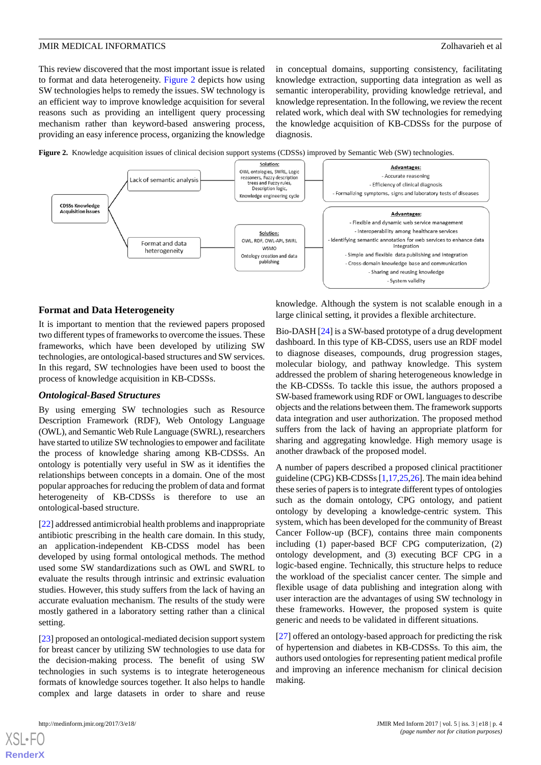This review discovered that the most important issue is related to format and data heterogeneity. [Figure 2](#page-3-0) depicts how using SW technologies helps to remedy the issues. SW technology is an efficient way to improve knowledge acquisition for several reasons such as providing an intelligent query processing mechanism rather than keyword-based answering process, providing an easy inference process, organizing the knowledge in conceptual domains, supporting consistency, facilitating knowledge extraction, supporting data integration as well as semantic interoperability, providing knowledge retrieval, and knowledge representation. In the following, we review the recent related work, which deal with SW technologies for remedying the knowledge acquisition of KB-CDSSs for the purpose of diagnosis.

<span id="page-3-0"></span>



#### **Format and Data Heterogeneity**

It is important to mention that the reviewed papers proposed two different types of frameworks to overcome the issues. These frameworks, which have been developed by utilizing SW technologies, are ontological-based structures and SW services. In this regard, SW technologies have been used to boost the process of knowledge acquisition in KB-CDSSs.

#### *Ontological-Based Structures*

By using emerging SW technologies such as Resource Description Framework (RDF), Web Ontology Language (OWL), and Semantic Web Rule Language (SWRL), researchers have started to utilize SW technologies to empower and facilitate the process of knowledge sharing among KB-CDSSs. An ontology is potentially very useful in SW as it identifies the relationships between concepts in a domain. One of the most popular approaches for reducing the problem of data and format heterogeneity of KB-CDSSs is therefore to use an ontological-based structure.

[[22\]](#page-8-16) addressed antimicrobial health problems and inappropriate antibiotic prescribing in the health care domain. In this study, an application-independent KB-CDSS model has been developed by using formal ontological methods. The method used some SW standardizations such as OWL and SWRL to evaluate the results through intrinsic and extrinsic evaluation studies. However, this study suffers from the lack of having an accurate evaluation mechanism. The results of the study were mostly gathered in a laboratory setting rather than a clinical setting.

[[23\]](#page-8-17) proposed an ontological-mediated decision support system for breast cancer by utilizing SW technologies to use data for the decision-making process. The benefit of using SW technologies in such systems is to integrate heterogeneous formats of knowledge sources together. It also helps to handle complex and large datasets in order to share and reuse

knowledge. Although the system is not scalable enough in a large clinical setting, it provides a flexible architecture.

Bio-DASH [\[24](#page-8-18)] is a SW-based prototype of a drug development dashboard. In this type of KB-CDSS, users use an RDF model to diagnose diseases, compounds, drug progression stages, molecular biology, and pathway knowledge. This system addressed the problem of sharing heterogeneous knowledge in the KB-CDSSs. To tackle this issue, the authors proposed a SW-based framework using RDF or OWL languages to describe objects and the relations between them. The framework supports data integration and user authorization. The proposed method suffers from the lack of having an appropriate platform for sharing and aggregating knowledge. High memory usage is another drawback of the proposed model.

A number of papers described a proposed clinical practitioner guideline (CPG) KB-CDSSs [\[1](#page-8-0)[,17](#page-8-13),[25](#page-8-19),[26\]](#page-9-0). The main idea behind these series of papers is to integrate different types of ontologies such as the domain ontology, CPG ontology, and patient ontology by developing a knowledge-centric system. This system, which has been developed for the community of Breast Cancer Follow-up (BCF), contains three main components including (1) paper-based BCF CPG computerization, (2) ontology development, and (3) executing BCF CPG in a logic-based engine. Technically, this structure helps to reduce the workload of the specialist cancer center. The simple and flexible usage of data publishing and integration along with user interaction are the advantages of using SW technology in these frameworks. However, the proposed system is quite generic and needs to be validated in different situations.

[[27\]](#page-9-1) offered an ontology-based approach for predicting the risk of hypertension and diabetes in KB-CDSSs. To this aim, the authors used ontologies for representing patient medical profile and improving an inference mechanism for clinical decision making.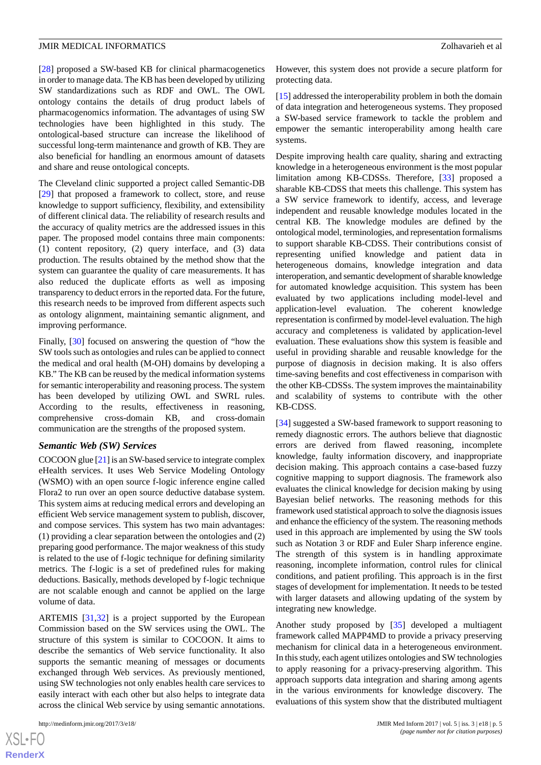[[28\]](#page-9-2) proposed a SW-based KB for clinical pharmacogenetics in order to manage data. The KB has been developed by utilizing SW standardizations such as RDF and OWL. The OWL ontology contains the details of drug product labels of pharmacogenomics information. The advantages of using SW technologies have been highlighted in this study. The ontological-based structure can increase the likelihood of successful long-term maintenance and growth of KB. They are also beneficial for handling an enormous amount of datasets and share and reuse ontological concepts.

The Cleveland clinic supported a project called Semantic-DB [[29\]](#page-9-3) that proposed a framework to collect, store, and reuse knowledge to support sufficiency, flexibility, and extensibility of different clinical data. The reliability of research results and the accuracy of quality metrics are the addressed issues in this paper. The proposed model contains three main components: (1) content repository, (2) query interface, and (3) data production. The results obtained by the method show that the system can guarantee the quality of care measurements. It has also reduced the duplicate efforts as well as imposing transparency to deduct errors in the reported data. For the future, this research needs to be improved from different aspects such as ontology alignment, maintaining semantic alignment, and improving performance.

Finally, [[30\]](#page-9-4) focused on answering the question of "how the SW tools such as ontologies and rules can be applied to connect the medical and oral health (M-OH) domains by developing a KB." The KB can be reused by the medical information systems for semantic interoperability and reasoning process. The system has been developed by utilizing OWL and SWRL rules. According to the results, effectiveness in reasoning, comprehensive cross-domain KB, and cross-domain communication are the strengths of the proposed system.

#### *Semantic Web (SW) Services*

COCOON glue [[21\]](#page-8-15) is an SW-based service to integrate complex eHealth services. It uses Web Service Modeling Ontology (WSMO) with an open source f-logic inference engine called Flora2 to run over an open source deductive database system. This system aims at reducing medical errors and developing an efficient Web service management system to publish, discover, and compose services. This system has two main advantages: (1) providing a clear separation between the ontologies and (2) preparing good performance. The major weakness of this study is related to the use of f-logic technique for defining similarity metrics. The f-logic is a set of predefined rules for making deductions. Basically, methods developed by f-logic technique are not scalable enough and cannot be applied on the large volume of data.

ARTEMIS [[31](#page-9-5)[,32](#page-9-6)] is a project supported by the European Commission based on the SW services using the OWL. The structure of this system is similar to COCOON. It aims to describe the semantics of Web service functionality. It also supports the semantic meaning of messages or documents exchanged through Web services. As previously mentioned, using SW technologies not only enables health care services to easily interact with each other but also helps to integrate data across the clinical Web service by using semantic annotations.

However, this system does not provide a secure platform for protecting data.

[[15\]](#page-8-11) addressed the interoperability problem in both the domain of data integration and heterogeneous systems. They proposed a SW-based service framework to tackle the problem and empower the semantic interoperability among health care systems.

Despite improving health care quality, sharing and extracting knowledge in a heterogeneous environment is the most popular limitation among KB-CDSSs. Therefore, [[33\]](#page-9-7) proposed a sharable KB-CDSS that meets this challenge. This system has a SW service framework to identify, access, and leverage independent and reusable knowledge modules located in the central KB. The knowledge modules are defined by the ontological model, terminologies, and representation formalisms to support sharable KB-CDSS. Their contributions consist of representing unified knowledge and patient data in heterogeneous domains, knowledge integration and data interoperation, and semantic development of sharable knowledge for automated knowledge acquisition. This system has been evaluated by two applications including model-level and application-level evaluation. The coherent knowledge representation is confirmed by model-level evaluation. The high accuracy and completeness is validated by application-level evaluation. These evaluations show this system is feasible and useful in providing sharable and reusable knowledge for the purpose of diagnosis in decision making. It is also offers time-saving benefits and cost effectiveness in comparison with the other KB-CDSSs. The system improves the maintainability and scalability of systems to contribute with the other KB-CDSS.

[[34\]](#page-9-8) suggested a SW-based framework to support reasoning to remedy diagnostic errors. The authors believe that diagnostic errors are derived from flawed reasoning, incomplete knowledge, faulty information discovery, and inappropriate decision making. This approach contains a case-based fuzzy cognitive mapping to support diagnosis. The framework also evaluates the clinical knowledge for decision making by using Bayesian belief networks. The reasoning methods for this framework used statistical approach to solve the diagnosis issues and enhance the efficiency of the system. The reasoning methods used in this approach are implemented by using the SW tools such as Notation 3 or RDF and Euler Sharp inference engine. The strength of this system is in handling approximate reasoning, incomplete information, control rules for clinical conditions, and patient profiling. This approach is in the first stages of development for implementation. It needs to be tested with larger datasets and allowing updating of the system by integrating new knowledge.

Another study proposed by [[35\]](#page-9-9) developed a multiagent framework called MAPP4MD to provide a privacy preserving mechanism for clinical data in a heterogeneous environment. In this study, each agent utilizes ontologies and SW technologies to apply reasoning for a privacy-preserving algorithm. This approach supports data integration and sharing among agents in the various environments for knowledge discovery. The evaluations of this system show that the distributed multiagent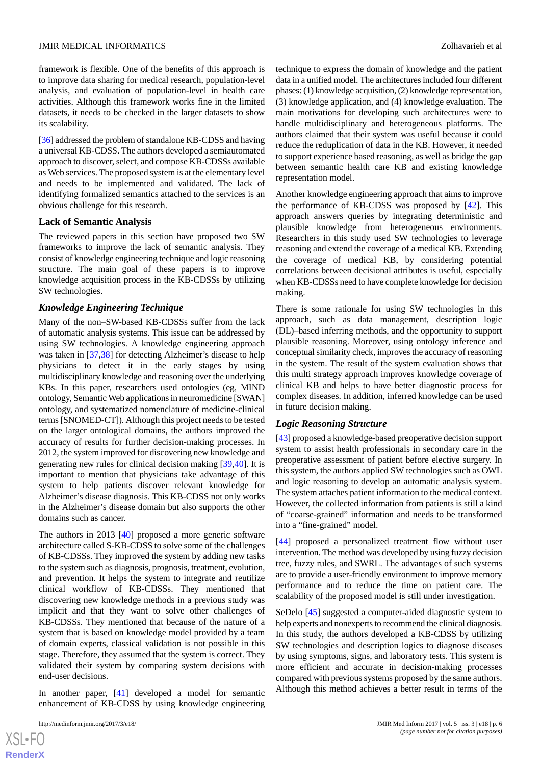framework is flexible. One of the benefits of this approach is to improve data sharing for medical research, population-level analysis, and evaluation of population-level in health care activities. Although this framework works fine in the limited datasets, it needs to be checked in the larger datasets to show its scalability.

[[36\]](#page-9-10) addressed the problem of standalone KB-CDSS and having a universal KB-CDSS. The authors developed a semiautomated approach to discover, select, and compose KB-CDSSs available as Web services. The proposed system is at the elementary level and needs to be implemented and validated. The lack of identifying formalized semantics attached to the services is an obvious challenge for this research.

#### **Lack of Semantic Analysis**

The reviewed papers in this section have proposed two SW frameworks to improve the lack of semantic analysis. They consist of knowledge engineering technique and logic reasoning structure. The main goal of these papers is to improve knowledge acquisition process in the KB-CDSSs by utilizing SW technologies.

#### *Knowledge Engineering Technique*

Many of the non–SW-based KB-CDSSs suffer from the lack of automatic analysis systems. This issue can be addressed by using SW technologies. A knowledge engineering approach was taken in [[37,](#page-9-11)[38](#page-9-12)] for detecting Alzheimer's disease to help physicians to detect it in the early stages by using multidisciplinary knowledge and reasoning over the underlying KBs. In this paper, researchers used ontologies (eg, MIND ontology, Semantic Web applications in neuromedicine [SWAN] ontology, and systematized nomenclature of medicine-clinical terms [SNOMED-CT]). Although this project needs to be tested on the larger ontological domains, the authors improved the accuracy of results for further decision-making processes. In 2012, the system improved for discovering new knowledge and generating new rules for clinical decision making [[39,](#page-9-13)[40](#page-9-14)]. It is important to mention that physicians take advantage of this system to help patients discover relevant knowledge for Alzheimer's disease diagnosis. This KB-CDSS not only works in the Alzheimer's disease domain but also supports the other domains such as cancer.

The authors in 2013 [[40\]](#page-9-14) proposed a more generic software architecture called S-KB-CDSS to solve some of the challenges of KB-CDSSs. They improved the system by adding new tasks to the system such as diagnosis, prognosis, treatment, evolution, and prevention. It helps the system to integrate and reutilize clinical workflow of KB-CDSSs. They mentioned that discovering new knowledge methods in a previous study was implicit and that they want to solve other challenges of KB-CDSSs. They mentioned that because of the nature of a system that is based on knowledge model provided by a team of domain experts, classical validation is not possible in this stage. Therefore, they assumed that the system is correct. They validated their system by comparing system decisions with end-user decisions.

In another paper, [\[41](#page-9-15)] developed a model for semantic enhancement of KB-CDSS by using knowledge engineering

technique to express the domain of knowledge and the patient data in a unified model. The architectures included four different phases: (1) knowledge acquisition, (2) knowledge representation, (3) knowledge application, and (4) knowledge evaluation. The main motivations for developing such architectures were to handle multidisciplinary and heterogeneous platforms. The authors claimed that their system was useful because it could reduce the reduplication of data in the KB. However, it needed to support experience based reasoning, as well as bridge the gap between semantic health care KB and existing knowledge representation model.

Another knowledge engineering approach that aims to improve the performance of KB-CDSS was proposed by [\[42](#page-9-16)]. This approach answers queries by integrating deterministic and plausible knowledge from heterogeneous environments. Researchers in this study used SW technologies to leverage reasoning and extend the coverage of a medical KB. Extending the coverage of medical KB, by considering potential correlations between decisional attributes is useful, especially when KB-CDSSs need to have complete knowledge for decision making.

There is some rationale for using SW technologies in this approach, such as data management, description logic (DL)–based inferring methods, and the opportunity to support plausible reasoning. Moreover, using ontology inference and conceptual similarity check, improves the accuracy of reasoning in the system. The result of the system evaluation shows that this multi strategy approach improves knowledge coverage of clinical KB and helps to have better diagnostic process for complex diseases. In addition, inferred knowledge can be used in future decision making.

#### *Logic Reasoning Structure*

[[43\]](#page-9-17) proposed a knowledge-based preoperative decision support system to assist health professionals in secondary care in the preoperative assessment of patient before elective surgery. In this system, the authors applied SW technologies such as OWL and logic reasoning to develop an automatic analysis system. The system attaches patient information to the medical context. However, the collected information from patients is still a kind of "coarse-grained" information and needs to be transformed into a "fine-grained" model.

[[44\]](#page-9-18) proposed a personalized treatment flow without user intervention. The method was developed by using fuzzy decision tree, fuzzy rules, and SWRL. The advantages of such systems are to provide a user-friendly environment to improve memory performance and to reduce the time on patient care. The scalability of the proposed model is still under investigation.

SeDelo [\[45](#page-9-19)] suggested a computer-aided diagnostic system to help experts and nonexperts to recommend the clinical diagnosis. In this study, the authors developed a KB-CDSS by utilizing SW technologies and description logics to diagnose diseases by using symptoms, signs, and laboratory tests. This system is more efficient and accurate in decision-making processes compared with previous systems proposed by the same authors. Although this method achieves a better result in terms of the

 $XS$ -FO **[RenderX](http://www.renderx.com/)**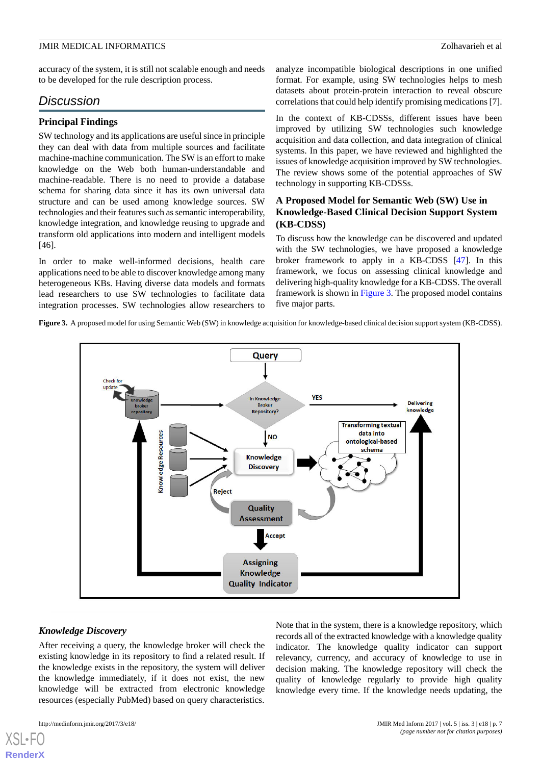accuracy of the system, it is still not scalable enough and needs to be developed for the rule description process.

# *Discussion*

### **Principal Findings**

SW technology and its applications are useful since in principle they can deal with data from multiple sources and facilitate machine-machine communication. The SW is an effort to make knowledge on the Web both human-understandable and machine-readable. There is no need to provide a database schema for sharing data since it has its own universal data structure and can be used among knowledge sources. SW technologies and their features such as semantic interoperability, knowledge integration, and knowledge reusing to upgrade and transform old applications into modern and intelligent models [46].

<span id="page-6-0"></span>In order to make well-informed decisions, health care applications need to be able to discover knowledge among many heterogeneous KBs. Having diverse data models and formats lead researchers to use SW technologies to facilitate data integration processes. SW technologies allow researchers to

analyze incompatible biological descriptions in one unified format. For example, using SW technologies helps to mesh datasets about protein-protein interaction to reveal obscure correlations that could help identify promising medications [7].

In the context of KB-CDSSs, different issues have been improved by utilizing SW technologies such knowledge acquisition and data collection, and data integration of clinical systems. In this paper, we have reviewed and highlighted the issues of knowledge acquisition improved by SW technologies. The review shows some of the potential approaches of SW technology in supporting KB-CDSSs.

# **A Proposed Model for Semantic Web (SW) Use in Knowledge-Based Clinical Decision Support System (KB-CDSS)**

To discuss how the knowledge can be discovered and updated with the SW technologies, we have proposed a knowledge broker framework to apply in a KB-CDSS [\[47](#page-9-20)]. In this framework, we focus on assessing clinical knowledge and delivering high-quality knowledge for a KB-CDSS. The overall framework is shown in [Figure 3](#page-6-0). The proposed model contains five major parts.

**Figure 3.** A proposed model for using Semantic Web (SW) in knowledge acquisition for knowledge-based clinical decision support system (KB-CDSS).



#### *Knowledge Discovery*

After receiving a query, the knowledge broker will check the existing knowledge in its repository to find a related result. If the knowledge exists in the repository, the system will deliver the knowledge immediately, if it does not exist, the new knowledge will be extracted from electronic knowledge resources (especially PubMed) based on query characteristics.

[XSL](http://www.w3.org/Style/XSL)•FO **[RenderX](http://www.renderx.com/)**

Note that in the system, there is a knowledge repository, which records all of the extracted knowledge with a knowledge quality indicator. The knowledge quality indicator can support relevancy, currency, and accuracy of knowledge to use in decision making. The knowledge repository will check the quality of knowledge regularly to provide high quality knowledge every time. If the knowledge needs updating, the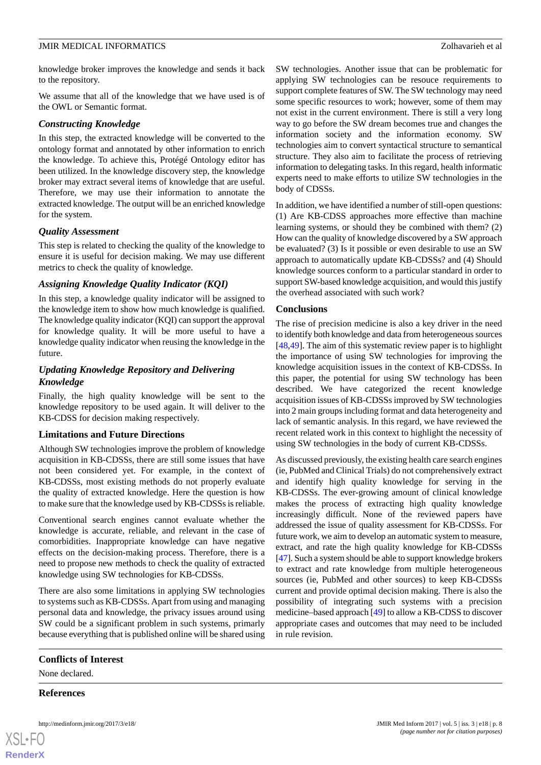knowledge broker improves the knowledge and sends it back to the repository.

We assume that all of the knowledge that we have used is of the OWL or Semantic format.

### *Constructing Knowledge*

In this step, the extracted knowledge will be converted to the ontology format and annotated by other information to enrich the knowledge. To achieve this, Protégé Ontology editor has been utilized. In the knowledge discovery step, the knowledge broker may extract several items of knowledge that are useful. Therefore, we may use their information to annotate the extracted knowledge. The output will be an enriched knowledge for the system.

#### *Quality Assessment*

This step is related to checking the quality of the knowledge to ensure it is useful for decision making. We may use different metrics to check the quality of knowledge.

#### *Assigning Knowledge Quality Indicator (KQI)*

In this step, a knowledge quality indicator will be assigned to the knowledge item to show how much knowledge is qualified. The knowledge quality indicator (KQI) can support the approval for knowledge quality. It will be more useful to have a knowledge quality indicator when reusing the knowledge in the future.

# *Updating Knowledge Repository and Delivering Knowledge*

Finally, the high quality knowledge will be sent to the knowledge repository to be used again. It will deliver to the KB-CDSS for decision making respectively.

## **Limitations and Future Directions**

Although SW technologies improve the problem of knowledge acquisition in KB-CDSSs, there are still some issues that have not been considered yet. For example, in the context of KB-CDSSs, most existing methods do not properly evaluate the quality of extracted knowledge. Here the question is how to make sure that the knowledge used by KB-CDSSs is reliable.

Conventional search engines cannot evaluate whether the knowledge is accurate, reliable, and relevant in the case of comorbidities. Inappropriate knowledge can have negative effects on the decision-making process. Therefore, there is a need to propose new methods to check the quality of extracted knowledge using SW technologies for KB-CDSSs.

There are also some limitations in applying SW technologies to systems such as KB-CDSSs. Apart from using and managing personal data and knowledge, the privacy issues around using SW could be a significant problem in such systems, primarly because everything that is published online will be shared using

SW technologies. Another issue that can be problematic for applying SW technologies can be resouce requirements to support complete features of SW. The SW technology may need some specific resources to work; however, some of them may not exist in the current environment. There is still a very long way to go before the SW dream becomes true and changes the information society and the information economy. SW technologies aim to convert syntactical structure to semantical structure. They also aim to facilitate the process of retrieving information to delegating tasks. In this regard, health informatic experts need to make efforts to utilize SW technologies in the body of CDSSs.

In addition, we have identified a number of still-open questions: (1) Are KB-CDSS approaches more effective than machine learning systems, or should they be combined with them? (2) How can the quality of knowledge discovered by a SW approach be evaluated? (3) Is it possible or even desirable to use an SW approach to automatically update KB-CDSSs? and (4) Should knowledge sources conform to a particular standard in order to support SW-based knowledge acquisition, and would this justify the overhead associated with such work?

#### **Conclusions**

The rise of precision medicine is also a key driver in the need to identify both knowledge and data from heterogeneous sources [[48,](#page-10-0)[49\]](#page-10-1). The aim of this systematic review paper is to highlight the importance of using SW technologies for improving the knowledge acquisition issues in the context of KB-CDSSs. In this paper, the potential for using SW technology has been described. We have categorized the recent knowledge acquisition issues of KB-CDSSs improved by SW technologies into 2 main groups including format and data heterogeneity and lack of semantic analysis. In this regard, we have reviewed the recent related work in this context to highlight the necessity of using SW technologies in the body of current KB-CDSSs.

As discussed previously, the existing health care search engines (ie, PubMed and Clinical Trials) do not comprehensively extract and identify high quality knowledge for serving in the KB-CDSSs. The ever-growing amount of clinical knowledge makes the process of extracting high quality knowledge increasingly difficult. None of the reviewed papers have addressed the issue of quality assessment for KB-CDSSs. For future work, we aim to develop an automatic system to measure, extract, and rate the high quality knowledge for KB-CDSSs [[47\]](#page-9-20). Such a system should be able to support knowledge brokers to extract and rate knowledge from multiple heterogeneous sources (ie, PubMed and other sources) to keep KB-CDSSs current and provide optimal decision making. There is also the possibility of integrating such systems with a precision medicine–based approach [\[49](#page-10-1)] to allow a KB-CDSS to discover appropriate cases and outcomes that may need to be included in rule revision.

## **Conflicts of Interest**

None declared.

**References**

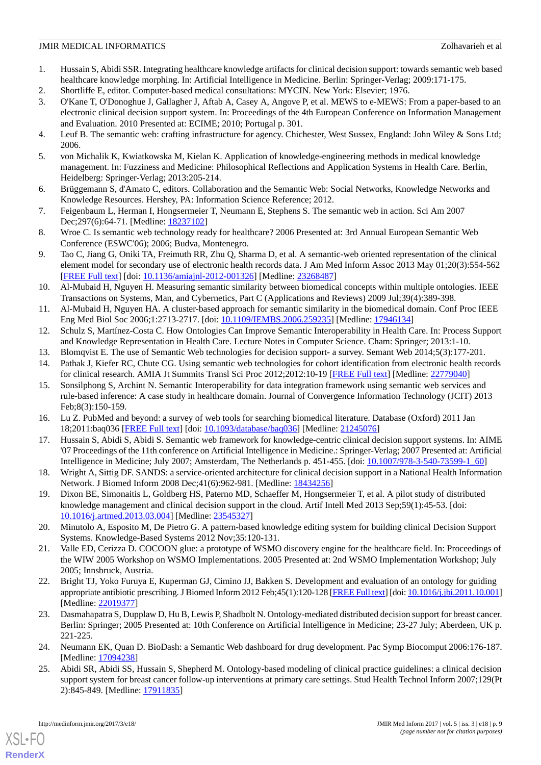- <span id="page-8-0"></span>1. Hussain S, Abidi SSR. Integrating healthcare knowledge artifacts for clinical decision support: towards semantic web based healthcare knowledge morphing. In: Artificial Intelligence in Medicine. Berlin: Springer-Verlag; 2009:171-175.
- <span id="page-8-2"></span><span id="page-8-1"></span>2. Shortliffe E, editor. Computer-based medical consultations: MYCIN. New York: Elsevier; 1976.
- 3. O'Kane T, O'Donoghue J, Gallagher J, Aftab A, Casey A, Angove P, et al. MEWS to e-MEWS: From a paper-based to an electronic clinical decision support system. In: Proceedings of the 4th European Conference on Information Management and Evaluation. 2010 Presented at: ECIME; 2010; Portugal p. 301.
- <span id="page-8-4"></span><span id="page-8-3"></span>4. Leuf B. The semantic web: crafting infrastructure for agency. Chichester, West Sussex, England: John Wiley & Sons Ltd; 2006.
- <span id="page-8-5"></span>5. von Michalik K, Kwiatkowska M, Kielan K. Application of knowledge-engineering methods in medical knowledge management. In: Fuzziness and Medicine: Philosophical Reflections and Application Systems in Health Care. Berlin, Heidelberg: Springer-Verlag; 2013:205-214.
- <span id="page-8-6"></span>6. Brüggemann S, d'Amato C, editors. Collaboration and the Semantic Web: Social Networks, Knowledge Networks and Knowledge Resources. Hershey, PA: Information Science Reference; 2012.
- 7. Feigenbaum L, Herman I, Hongsermeier T, Neumann E, Stephens S. The semantic web in action. Sci Am 2007 Dec;297(6):64-71. [Medline: [18237102](http://www.ncbi.nlm.nih.gov/entrez/query.fcgi?cmd=Retrieve&db=PubMed&list_uids=18237102&dopt=Abstract)]
- <span id="page-8-7"></span>8. Wroe C. Is semantic web technology ready for healthcare? 2006 Presented at: 3rd Annual European Semantic Web Conference (ESWC'06); 2006; Budva, Montenegro.
- <span id="page-8-8"></span>9. Tao C, Jiang G, Oniki TA, Freimuth RR, Zhu Q, Sharma D, et al. A semantic-web oriented representation of the clinical element model for secondary use of electronic health records data. J Am Med Inform Assoc 2013 May 01;20(3):554-562 [[FREE Full text](http://europepmc.org/abstract/MED/23268487)] [doi: [10.1136/amiajnl-2012-001326](http://dx.doi.org/10.1136/amiajnl-2012-001326)] [Medline: [23268487](http://www.ncbi.nlm.nih.gov/entrez/query.fcgi?cmd=Retrieve&db=PubMed&list_uids=23268487&dopt=Abstract)]
- <span id="page-8-10"></span><span id="page-8-9"></span>10. Al-Mubaid H, Nguyen H. Measuring semantic similarity between biomedical concepts within multiple ontologies. IEEE Transactions on Systems, Man, and Cybernetics, Part C (Applications and Reviews) 2009 Jul;39(4):389-398.
- 11. Al-Mubaid H, Nguyen HA. A cluster-based approach for semantic similarity in the biomedical domain. Conf Proc IEEE Eng Med Biol Soc 2006;1:2713-2717. [doi: [10.1109/IEMBS.2006.259235](http://dx.doi.org/10.1109/IEMBS.2006.259235)] [Medline: [17946134](http://www.ncbi.nlm.nih.gov/entrez/query.fcgi?cmd=Retrieve&db=PubMed&list_uids=17946134&dopt=Abstract)]
- 12. Schulz S, Martínez-Costa C. How Ontologies Can Improve Semantic Interoperability in Health Care. In: Process Support and Knowledge Representation in Health Care. Lecture Notes in Computer Science. Cham: Springer; 2013:1-10.
- <span id="page-8-11"></span>13. Blomqvist E. The use of Semantic Web technologies for decision support- a survey. Semant Web 2014;5(3):177-201.
- 14. Pathak J, Kiefer RC, Chute CG. Using semantic web technologies for cohort identification from electronic health records for clinical research. AMIA Jt Summits Transl Sci Proc 2012;2012:10-19 [[FREE Full text](http://europepmc.org/abstract/MED/22779040)] [Medline: [22779040](http://www.ncbi.nlm.nih.gov/entrez/query.fcgi?cmd=Retrieve&db=PubMed&list_uids=22779040&dopt=Abstract)]
- <span id="page-8-13"></span><span id="page-8-12"></span>15. Sonsilphong S, Archint N. Semantic Interoperability for data integration framework using semantic web services and rule-based inference: A case study in healthcare domain. Journal of Convergence Information Technology (JCIT) 2013 Feb;8(3):150-159.
- 16. Lu Z. PubMed and beyond: a survey of web tools for searching biomedical literature. Database (Oxford) 2011 Jan 18;2011:baq036 [\[FREE Full text\]](http://europepmc.org/abstract/MED/21245076) [doi: [10.1093/database/baq036\]](http://dx.doi.org/10.1093/database/baq036) [Medline: [21245076\]](http://www.ncbi.nlm.nih.gov/entrez/query.fcgi?cmd=Retrieve&db=PubMed&list_uids=21245076&dopt=Abstract)
- 17. Hussain S, Abidi S, Abidi S. Semantic web framework for knowledge-centric clinical decision support systems. In: AIME '07 Proceedings of the 11th conference on Artificial Intelligence in Medicine.: Springer-Verlag; 2007 Presented at: Artificial Intelligence in Medicine; July 2007; Amsterdam, The Netherlands p. 451-455. [doi: [10.1007/978-3-540-73599-1\\_60\]](http://dx.doi.org/10.1007/978-3-540-73599-1_60)
- <span id="page-8-14"></span>18. Wright A, Sittig DF. SANDS: a service-oriented architecture for clinical decision support in a National Health Information Network. J Biomed Inform 2008 Dec;41(6):962-981. [Medline: [18434256](http://www.ncbi.nlm.nih.gov/entrez/query.fcgi?cmd=Retrieve&db=PubMed&list_uids=18434256&dopt=Abstract)]
- <span id="page-8-15"></span>19. Dixon BE, Simonaitis L, Goldberg HS, Paterno MD, Schaeffer M, Hongsermeier T, et al. A pilot study of distributed knowledge management and clinical decision support in the cloud. Artif Intell Med 2013 Sep;59(1):45-53. [doi: [10.1016/j.artmed.2013.03.004](http://dx.doi.org/10.1016/j.artmed.2013.03.004)] [Medline: [23545327](http://www.ncbi.nlm.nih.gov/entrez/query.fcgi?cmd=Retrieve&db=PubMed&list_uids=23545327&dopt=Abstract)]
- <span id="page-8-16"></span>20. Minutolo A, Esposito M, De Pietro G. A pattern-based knowledge editing system for building clinical Decision Support Systems. Knowledge-Based Systems 2012 Nov;35:120-131.
- <span id="page-8-17"></span>21. Valle ED, Cerizza D. COCOON glue: a prototype of WSMO discovery engine for the healthcare field. In: Proceedings of the WIW 2005 Workshop on WSMO Implementations. 2005 Presented at: 2nd WSMO Implementation Workshop; July 2005; Innsbruck, Austria.
- <span id="page-8-18"></span>22. Bright TJ, Yoko Furuya E, Kuperman GJ, Cimino JJ, Bakken S. Development and evaluation of an ontology for guiding appropriate antibiotic prescribing. J Biomed Inform 2012 Feb;45(1):120-128 [\[FREE Full text\]](https://linkinghub.elsevier.com/retrieve/pii/S1532-0464(11)00167-5) [doi: [10.1016/j.jbi.2011.10.001\]](http://dx.doi.org/10.1016/j.jbi.2011.10.001) [Medline: [22019377](http://www.ncbi.nlm.nih.gov/entrez/query.fcgi?cmd=Retrieve&db=PubMed&list_uids=22019377&dopt=Abstract)]
- <span id="page-8-19"></span>23. Dasmahapatra S, Dupplaw D, Hu B, Lewis P, Shadbolt N. Ontology-mediated distributed decision support for breast cancer. Berlin: Springer; 2005 Presented at: 10th Conference on Artificial Intelligence in Medicine; 23-27 July; Aberdeen, UK p. 221-225.
- 24. Neumann EK, Quan D. BioDash: a Semantic Web dashboard for drug development. Pac Symp Biocomput 2006:176-187. [Medline: [17094238](http://www.ncbi.nlm.nih.gov/entrez/query.fcgi?cmd=Retrieve&db=PubMed&list_uids=17094238&dopt=Abstract)]
- 25. Abidi SR, Abidi SS, Hussain S, Shepherd M. Ontology-based modeling of clinical practice guidelines: a clinical decision support system for breast cancer follow-up interventions at primary care settings. Stud Health Technol Inform 2007;129(Pt 2):845-849. [Medline: [17911835\]](http://www.ncbi.nlm.nih.gov/entrez/query.fcgi?cmd=Retrieve&db=PubMed&list_uids=17911835&dopt=Abstract)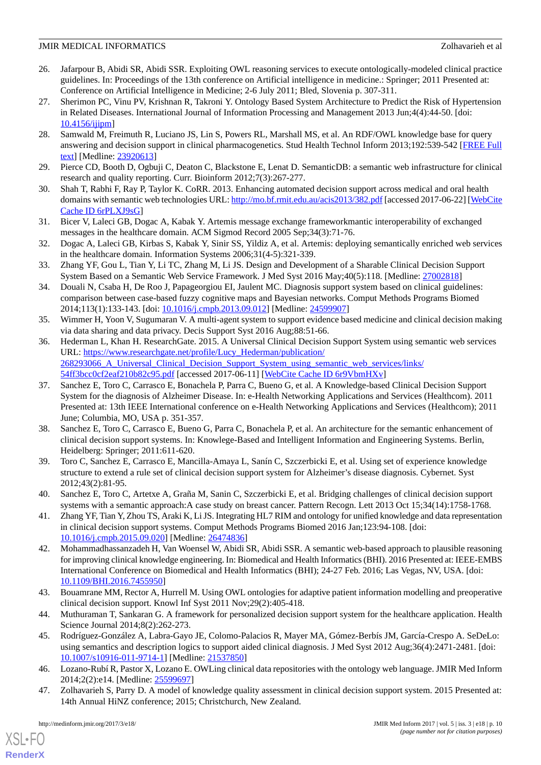- <span id="page-9-0"></span>26. Jafarpour B, Abidi SR, Abidi SSR. Exploiting OWL reasoning services to execute ontologically-modeled clinical practice guidelines. In: Proceedings of the 13th conference on Artificial intelligence in medicine.: Springer; 2011 Presented at: Conference on Artificial Intelligence in Medicine; 2-6 July 2011; Bled, Slovenia p. 307-311.
- <span id="page-9-1"></span>27. Sherimon PC, Vinu PV, Krishnan R, Takroni Y. Ontology Based System Architecture to Predict the Risk of Hypertension in Related Diseases. International Journal of Information Processing and Management 2013 Jun;4(4):44-50. [doi: [10.4156/ijipm\]](http://dx.doi.org/10.4156/ijipm)
- <span id="page-9-2"></span>28. Samwald M, Freimuth R, Luciano JS, Lin S, Powers RL, Marshall MS, et al. An RDF/OWL knowledge base for query answering and decision support in clinical pharmacogenetics. Stud Health Technol Inform 2013;192:539-542 [\[FREE Full](http://europepmc.org/abstract/MED/23920613) [text](http://europepmc.org/abstract/MED/23920613)] [Medline: [23920613](http://www.ncbi.nlm.nih.gov/entrez/query.fcgi?cmd=Retrieve&db=PubMed&list_uids=23920613&dopt=Abstract)]
- <span id="page-9-4"></span><span id="page-9-3"></span>29. Pierce CD, Booth D, Ogbuji C, Deaton C, Blackstone E, Lenat D. SemanticDB: a semantic web infrastructure for clinical research and quality reporting. Curr. Bioinform 2012;7(3):267-277.
- <span id="page-9-5"></span>30. Shah T, Rabhi F, Ray P, Taylor K. CoRR. 2013. Enhancing automated decision support across medical and oral health domains with semantic web technologies URL:<http://mo.bf.rmit.edu.au/acis2013/382.pdf> [accessed 2017-06-22] [\[WebCite](http://www.webcitation.org/

                                6rPLXJ9sG) [Cache ID 6rPLXJ9sG](http://www.webcitation.org/

                                6rPLXJ9sG)]
- <span id="page-9-6"></span>31. Bicer V, Laleci GB, Dogac A, Kabak Y. Artemis message exchange frameworkmantic interoperability of exchanged messages in the healthcare domain. ACM Sigmod Record 2005 Sep;34(3):71-76.
- <span id="page-9-7"></span>32. Dogac A, Laleci GB, Kirbas S, Kabak Y, Sinir SS, Yildiz A, et al. Artemis: deploying semantically enriched web services in the healthcare domain. Information Systems 2006;31(4-5):321-339.
- <span id="page-9-8"></span>33. Zhang YF, Gou L, Tian Y, Li TC, Zhang M, Li JS. Design and Development of a Sharable Clinical Decision Support System Based on a Semantic Web Service Framework. J Med Syst 2016 May;40(5):118. [Medline: [27002818](http://www.ncbi.nlm.nih.gov/entrez/query.fcgi?cmd=Retrieve&db=PubMed&list_uids=27002818&dopt=Abstract)]
- <span id="page-9-9"></span>34. Douali N, Csaba H, De Roo J, Papageorgiou EI, Jaulent MC. Diagnosis support system based on clinical guidelines: comparison between case-based fuzzy cognitive maps and Bayesian networks. Comput Methods Programs Biomed 2014;113(1):133-143. [doi: [10.1016/j.cmpb.2013.09.012](http://dx.doi.org/10.1016/j.cmpb.2013.09.012)] [Medline: [24599907](http://www.ncbi.nlm.nih.gov/entrez/query.fcgi?cmd=Retrieve&db=PubMed&list_uids=24599907&dopt=Abstract)]
- <span id="page-9-10"></span>35. Wimmer H, Yoon V, Sugumaran V. A multi-agent system to support evidence based medicine and clinical decision making via data sharing and data privacy. Decis Support Syst 2016 Aug;88:51-66.
- <span id="page-9-11"></span>36. Hederman L, Khan H. ResearchGate. 2015. A Universal Clinical Decision Support System using semantic web services URL: [https://www.researchgate.net/profile/Lucy\\_Hederman/publication/](https://www.researchgate.net/profile/Lucy_Hederman/publication/268293066_A_Universal_Clinical_Decision_Support_System_using_semantic_web_services/links/54ff3bcc0cf2eaf210b82c95.pdf) 268293066 A\_Universal\_Clinical\_Decision\_Support\_System\_using\_semantic\_web\_services/links/ [54ff3bcc0cf2eaf210b82c95.pdf](https://www.researchgate.net/profile/Lucy_Hederman/publication/268293066_A_Universal_Clinical_Decision_Support_System_using_semantic_web_services/links/54ff3bcc0cf2eaf210b82c95.pdf) [accessed 2017-06-11] [\[WebCite Cache ID 6r9VbmHXv\]](http://www.webcitation.org/

                                6r9VbmHXv)
- <span id="page-9-12"></span>37. Sanchez E, Toro C, Carrasco E, Bonachela P, Parra C, Bueno G, et al. A Knowledge-based Clinical Decision Support System for the diagnosis of Alzheimer Disease. In: e-Health Networking Applications and Services (Healthcom). 2011 Presented at: 13th IEEE International conference on e-Health Networking Applications and Services (Healthcom); 2011 June; Columbia, MO, USA p. 351-357.
- <span id="page-9-13"></span>38. Sanchez E, Toro C, Carrasco E, Bueno G, Parra C, Bonachela P, et al. An architecture for the semantic enhancement of clinical decision support systems. In: Knowlege-Based and Intelligent Information and Engineering Systems. Berlin, Heidelberg: Springer; 2011:611-620.
- <span id="page-9-15"></span><span id="page-9-14"></span>39. Toro C, Sanchez E, Carrasco E, Mancilla-Amaya L, Sanín C, Szczerbicki E, et al. Using set of experience knowledge structure to extend a rule set of clinical decision support system for Alzheimer's disease diagnosis. Cybernet. Syst 2012;43(2):81-95.
- <span id="page-9-16"></span>40. Sanchez E, Toro C, Artetxe A, Graña M, Sanin C, Szczerbicki E, et al. Bridging challenges of clinical decision support systems with a semantic approach:A case study on breast cancer. Pattern Recogn. Lett 2013 Oct 15;34(14):1758-1768.
- 41. Zhang YF, Tian Y, Zhou TS, Araki K, Li JS. Integrating HL7 RIM and ontology for unified knowledge and data representation in clinical decision support systems. Comput Methods Programs Biomed 2016 Jan;123:94-108. [doi: [10.1016/j.cmpb.2015.09.020](http://dx.doi.org/10.1016/j.cmpb.2015.09.020)] [Medline: [26474836](http://www.ncbi.nlm.nih.gov/entrez/query.fcgi?cmd=Retrieve&db=PubMed&list_uids=26474836&dopt=Abstract)]
- <span id="page-9-18"></span><span id="page-9-17"></span>42. Mohammadhassanzadeh H, Van Woensel W, Abidi SR, Abidi SSR. A semantic web-based approach to plausible reasoning for improving clinical knowledge engineering. In: Biomedical and Health Informatics (BHI). 2016 Presented at: IEEE-EMBS International Conference on Biomedical and Health Informatics (BHI); 24-27 Feb. 2016; Las Vegas, NV, USA. [doi: [10.1109/BHI.2016.7455950](http://dx.doi.org/10.1109/BHI.2016.7455950)]
- <span id="page-9-19"></span>43. Bouamrane MM, Rector A, Hurrell M. Using OWL ontologies for adaptive patient information modelling and preoperative clinical decision support. Knowl Inf Syst 2011 Nov;29(2):405-418.
- <span id="page-9-20"></span>44. Muthuraman T, Sankaran G. A framework for personalized decision support system for the healthcare application. Health Science Journal 2014;8(2):262-273.
- 45. Rodríguez-González A, Labra-Gayo JE, Colomo-Palacios R, Mayer MA, Gómez-Berbís JM, García-Crespo A. SeDeLo: using semantics and description logics to support aided clinical diagnosis. J Med Syst 2012 Aug;36(4):2471-2481. [doi: [10.1007/s10916-011-9714-1\]](http://dx.doi.org/10.1007/s10916-011-9714-1) [Medline: [21537850](http://www.ncbi.nlm.nih.gov/entrez/query.fcgi?cmd=Retrieve&db=PubMed&list_uids=21537850&dopt=Abstract)]
- 46. Lozano-Rubí R, Pastor X, Lozano E. OWLing clinical data repositories with the ontology web language. JMIR Med Inform 2014;2(2):e14. [Medline: [25599697](http://www.ncbi.nlm.nih.gov/entrez/query.fcgi?cmd=Retrieve&db=PubMed&list_uids=25599697&dopt=Abstract)]
- 47. Zolhavarieh S, Parry D. A model of knowledge quality assessment in clinical decision support system. 2015 Presented at: 14th Annual HiNZ conference; 2015; Christchurch, New Zealand.